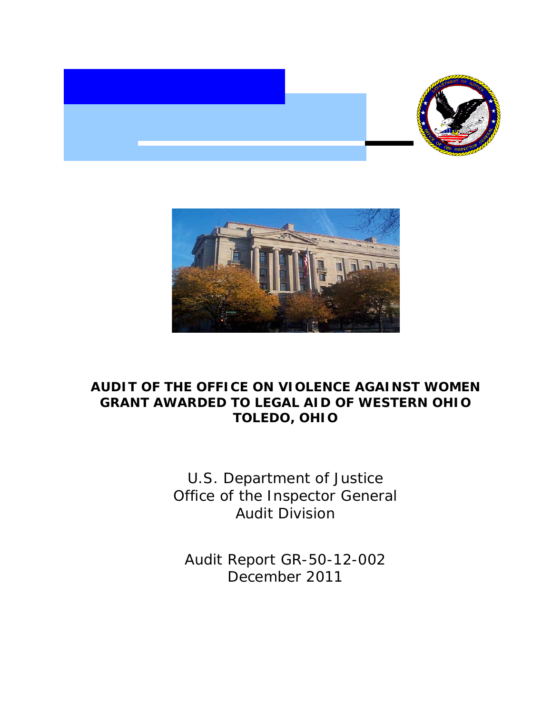



# **AUDIT OF THE OFFICE ON VIOLENCE AGAINST WOMEN GRANT AWARDED TO LEGAL AID OF WESTERN OHIO TOLEDO, OHIO**

U.S. Department of Justice Office of the Inspector General Audit Division

Audit Report GR-50-12-002 December 2011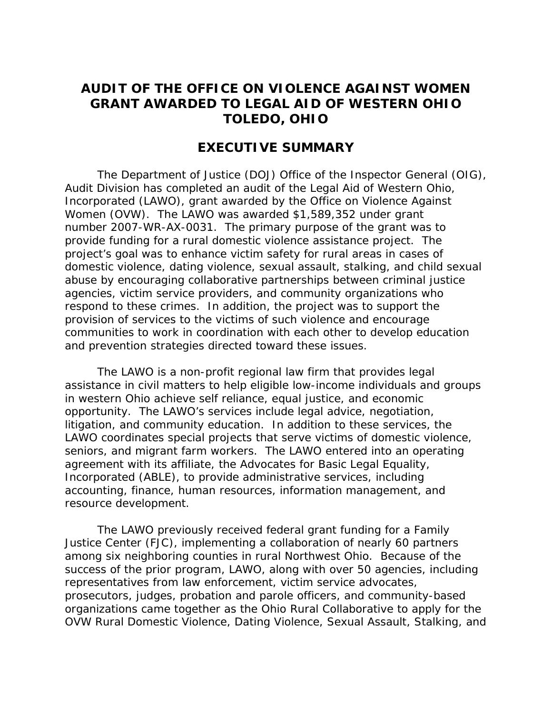# **AUDIT OF THE OFFICE ON VIOLENCE AGAINST WOMEN GRANT AWARDED TO LEGAL AID OF WESTERN OHIO TOLEDO, OHIO**

# **EXECUTIVE SUMMARY**

The Department of Justice (DOJ) Office of the Inspector General (OIG), Audit Division has completed an audit of the Legal Aid of Western Ohio, Incorporated (LAWO), grant awarded by the Office on Violence Against Women (OVW). The LAWO was awarded \$1,589,352 under grant number 2007-WR-AX-0031. The primary purpose of the grant was to provide funding for a rural domestic violence assistance project. The project's goal was to enhance victim safety for rural areas in cases of domestic violence, dating violence, sexual assault, stalking, and child sexual abuse by encouraging collaborative partnerships between criminal justice agencies, victim service providers, and community organizations who respond to these crimes. In addition, the project was to support the provision of services to the victims of such violence and encourage communities to work in coordination with each other to develop education and prevention strategies directed toward these issues.

The LAWO is a non-profit regional law firm that provides legal assistance in civil matters to help eligible low-income individuals and groups in western Ohio achieve self reliance, equal justice, and economic opportunity. The LAWO's services include legal advice, negotiation, litigation, and community education. In addition to these services, the LAWO coordinates special projects that serve victims of domestic violence, seniors, and migrant farm workers. The LAWO entered into an operating agreement with its affiliate, the Advocates for Basic Legal Equality, Incorporated (ABLE), to provide administrative services, including accounting, finance, human resources, information management, and resource development.

The LAWO previously received federal grant funding for a Family Justice Center (FJC), implementing a collaboration of nearly 60 partners among six neighboring counties in rural Northwest Ohio. Because of the success of the prior program, LAWO, along with over 50 agencies, including representatives from law enforcement, victim service advocates, prosecutors, judges, probation and parole officers, and community-based organizations came together as the Ohio Rural Collaborative to apply for the OVW Rural Domestic Violence, Dating Violence, Sexual Assault, Stalking, and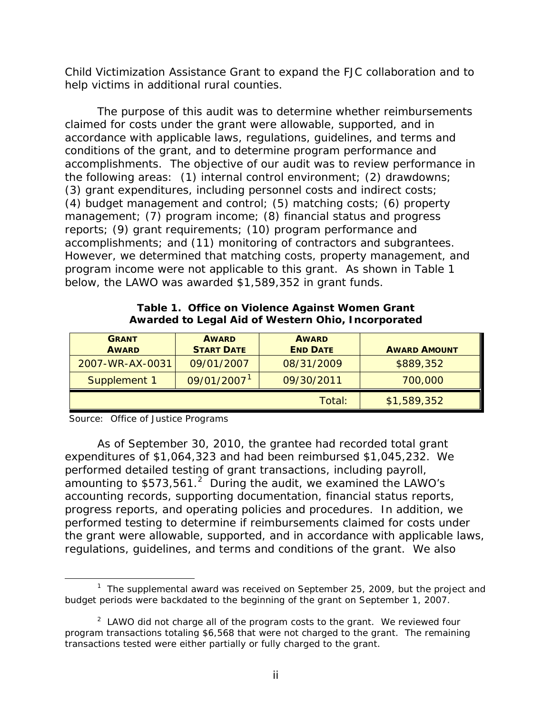Child Victimization Assistance Grant to expand the FJC collaboration and to help victims in additional rural counties.

The purpose of this audit was to determine whether reimbursements claimed for costs under the grant were allowable, supported, and in accordance with applicable laws, regulations, guidelines, and terms and conditions of the grant, and to determine program performance and accomplishments. The objective of our audit was to review performance in the following areas: (1) internal control environment; (2) drawdowns; (3) grant expenditures, including personnel costs and indirect costs; (4) budget management and control; (5) matching costs; (6) property management; (7) program income; (8) financial status and progress reports; (9) grant requirements; (10) program performance and accomplishments; and (11) monitoring of contractors and subgrantees. However, we determined that matching costs, property management, and program income were not applicable to this grant. As shown in Table 1 below, the LAWO was awarded \$1,589,352 in grant funds.

| <b>GRANT</b><br><b>AWARD</b> | <b>AWARD</b><br><b>START DATE</b> | <b>AWARD</b><br><b>END DATE</b> | <b>AWARD AMOUNT</b> |
|------------------------------|-----------------------------------|---------------------------------|---------------------|
| 2007-WR-AX-0031              | 09/01/2007                        | 08/31/2009                      | \$889,352           |
| Supplement 1                 | 09/01/2007 <sup>1</sup>           | 09/30/2011                      | 700,000             |
|                              |                                   | Total:                          | \$1,589,352         |

**Table 1. Office on Violence Against Women Grant Awarded to Legal Aid of Western Ohio, Incorporated**

Source: Office of Justice Programs

As of September 30, 2010, the grantee had recorded total grant expenditures of \$1,064,323 and had been reimbursed \$1,045,232. We performed detailed testing of grant transactions, including payroll, amounting to  $$573,561.<sup>2</sup>$  $$573,561.<sup>2</sup>$  $$573,561.<sup>2</sup>$  During the audit, we examined the LAWO's accounting records, supporting documentation, financial status reports, progress reports, and operating policies and procedures. In addition, we performed testing to determine if reimbursements claimed for costs under the grant were allowable, supported, and in accordance with applicable laws, regulations, guidelines, and terms and conditions of the grant. We also

<span id="page-2-1"></span><sup>1</sup> <sup>1</sup> The supplemental award was received on September 25, 2009, but the project and budget periods were backdated to the beginning of the grant on September 1, 2007.

<span id="page-2-0"></span> $2$  LAWO did not charge all of the program costs to the grant. We reviewed four program transactions totaling \$6,568 that were not charged to the grant. The remaining transactions tested were either partially or fully charged to the grant.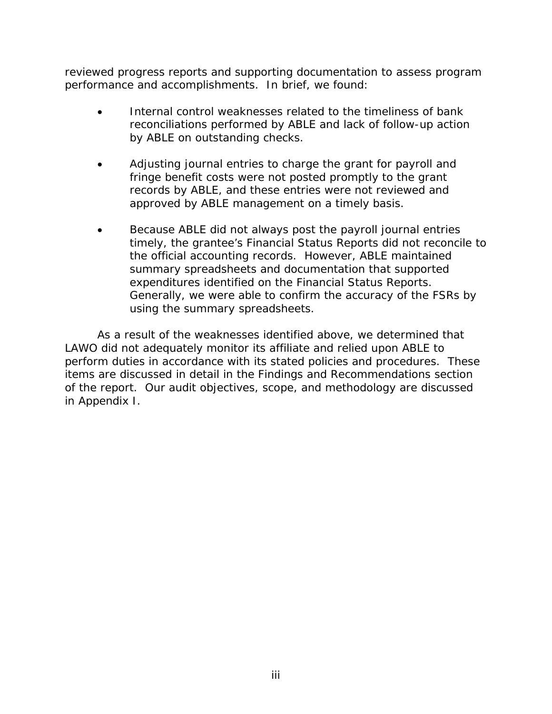reviewed progress reports and supporting documentation to assess program performance and accomplishments. In brief, we found:

- Internal control weaknesses related to the timeliness of bank reconciliations performed by ABLE and lack of follow-up action by ABLE on outstanding checks.
- Adjusting journal entries to charge the grant for payroll and fringe benefit costs were not posted promptly to the grant records by ABLE, and these entries were not reviewed and approved by ABLE management on a timely basis.
- Because ABLE did not always post the payroll journal entries timely, the grantee's Financial Status Reports did not reconcile to the official accounting records. However, ABLE maintained summary spreadsheets and documentation that supported expenditures identified on the Financial Status Reports. Generally, we were able to confirm the accuracy of the FSRs by using the summary spreadsheets.

As a result of the weaknesses identified above, we determined that LAWO did not adequately monitor its affiliate and relied upon ABLE to perform duties in accordance with its stated policies and procedures. These items are discussed in detail in the Findings and Recommendations section of the report. Our audit objectives, scope, and methodology are discussed in Appendix I.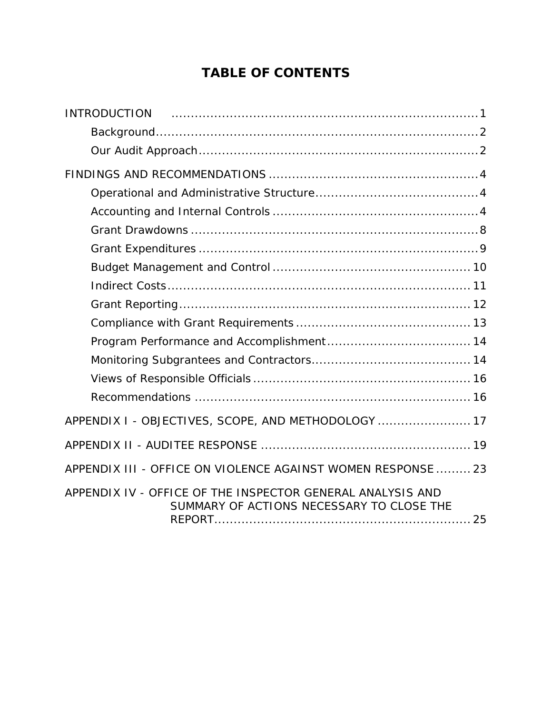# **TABLE OF CONTENTS**

| <b>INTRODUCTION</b>                                                                                     |
|---------------------------------------------------------------------------------------------------------|
|                                                                                                         |
|                                                                                                         |
|                                                                                                         |
|                                                                                                         |
|                                                                                                         |
|                                                                                                         |
|                                                                                                         |
|                                                                                                         |
|                                                                                                         |
|                                                                                                         |
|                                                                                                         |
|                                                                                                         |
|                                                                                                         |
|                                                                                                         |
|                                                                                                         |
| APPENDIX I - OBJECTIVES, SCOPE, AND METHODOLOGY  17                                                     |
|                                                                                                         |
| APPENDIX III - OFFICE ON VIOLENCE AGAINST WOMEN RESPONSE  23                                            |
| APPENDIX IV - OFFICE OF THE INSPECTOR GENERAL ANALYSIS AND<br>SUMMARY OF ACTIONS NECESSARY TO CLOSE THE |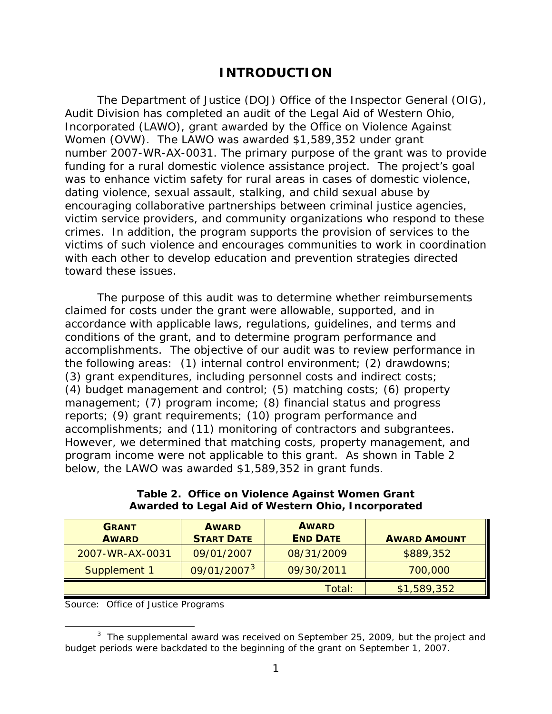# **INTRODUCTION**

<span id="page-5-0"></span>The Department of Justice (DOJ) Office of the Inspector General (OIG), Audit Division has completed an audit of the Legal Aid of Western Ohio, Incorporated (LAWO), grant awarded by the Office on Violence Against Women (OVW). The LAWO was awarded \$1,589,352 under grant number 2007-WR-AX-0031. The primary purpose of the grant was to provide funding for a rural domestic violence assistance project. The project's goal was to enhance victim safety for rural areas in cases of domestic violence, dating violence, sexual assault, stalking, and child sexual abuse by encouraging collaborative partnerships between criminal justice agencies, victim service providers, and community organizations who respond to these crimes. In addition, the program supports the provision of services to the victims of such violence and encourages communities to work in coordination with each other to develop education and prevention strategies directed toward these issues.

The purpose of this audit was to determine whether reimbursements claimed for costs under the grant were allowable, supported, and in accordance with applicable laws, regulations, guidelines, and terms and conditions of the grant, and to determine program performance and accomplishments. The objective of our audit was to review performance in the following areas: (1) internal control environment; (2) drawdowns; (3) grant expenditures, including personnel costs and indirect costs; (4) budget management and control; (5) matching costs; (6) property management; (7) program income; (8) financial status and progress reports; (9) grant requirements; (10) program performance and accomplishments; and (11) monitoring of contractors and subgrantees. However, we determined that matching costs, property management, and program income were not applicable to this grant. As shown in Table 2 below, the LAWO was awarded \$1,589,352 in grant funds.

| <b>GRANT</b><br><b>AWARD</b> | <b>AWARD</b><br><b>START DATE</b> | <b>AWARD</b><br><b>END DATE</b> | <b>AWARD AMOUNT</b> |
|------------------------------|-----------------------------------|---------------------------------|---------------------|
| 2007-WR-AX-0031              | 09/01/2007                        | 08/31/2009                      | \$889,352           |
| Supplement 1                 | 09/01/2007 <sup>3</sup>           | 09/30/2011                      | 700,000             |
|                              |                                   | Total:                          | \$1,589,352         |

**Table 2. Office on Violence Against Women Grant Awarded to Legal Aid of Western Ohio, Incorporated**

Source: Office of Justice Programs

<span id="page-5-1"></span><sup>1</sup>  $3$  The supplemental award was received on September 25, 2009, but the project and budget periods were backdated to the beginning of the grant on September 1, 2007.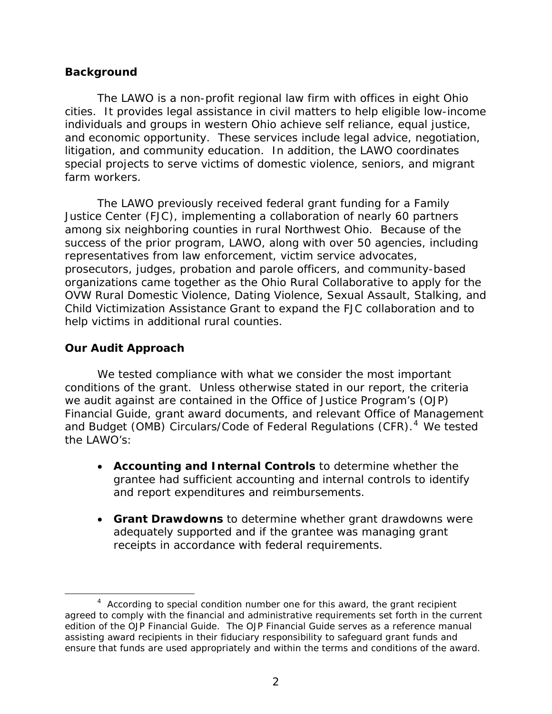### <span id="page-6-0"></span>**Background**

The LAWO is a non-profit regional law firm with offices in eight Ohio cities. It provides legal assistance in civil matters to help eligible low-income individuals and groups in western Ohio achieve self reliance, equal justice, and economic opportunity. These services include legal advice, negotiation, litigation, and community education. In addition, the LAWO coordinates special projects to serve victims of domestic violence, seniors, and migrant farm workers.

The LAWO previously received federal grant funding for a Family Justice Center (FJC), implementing a collaboration of nearly 60 partners among six neighboring counties in rural Northwest Ohio. Because of the success of the prior program, LAWO, along with over 50 agencies, including representatives from law enforcement, victim service advocates, prosecutors, judges, probation and parole officers, and community-based organizations came together as the Ohio Rural Collaborative to apply for the OVW Rural Domestic Violence, Dating Violence, Sexual Assault, Stalking, and Child Victimization Assistance Grant to expand the FJC collaboration and to help victims in additional rural counties.

## <span id="page-6-1"></span>**Our Audit Approach**

We tested compliance with what we consider the most important conditions of the grant. Unless otherwise stated in our report, the criteria we audit against are contained in the Office of Justice Program's (OJP) *Financial Guide*, grant award documents, and relevant Office of Management and Budget (OMB) Circulars/Code of Federal Regulations (CFR).<sup>[4](#page-6-2)</sup> We tested the LAWO's:

- **Accounting and Internal Controls** to determine whether the grantee had sufficient accounting and internal controls to identify and report expenditures and reimbursements.
- **Grant Drawdowns** to determine whether grant drawdowns were adequately supported and if the grantee was managing grant receipts in accordance with federal requirements.

<span id="page-6-2"></span> $\overline{a}$  $4$  According to special condition number one for this award, the grant recipient agreed to comply with the financial and administrative requirements set forth in the current edition of the *OJP Financial Guide*. The *OJP Financial Guide* serves as a reference manual assisting award recipients in their fiduciary responsibility to safeguard grant funds and ensure that funds are used appropriately and within the terms and conditions of the award.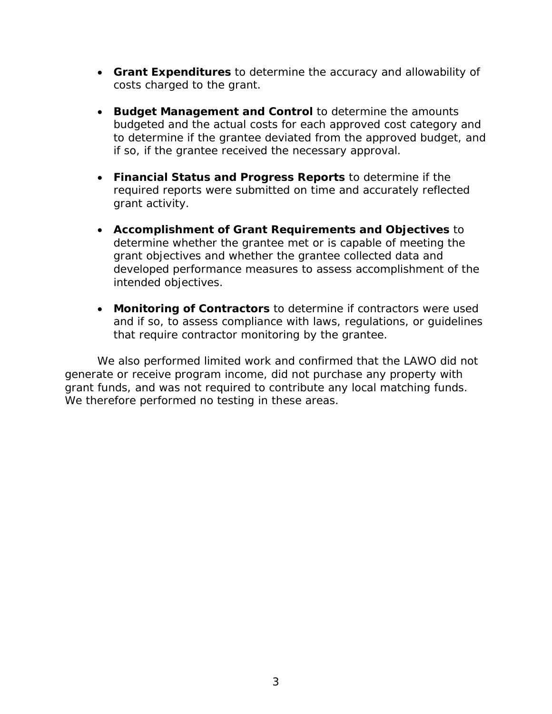- **Grant Expenditures** to determine the accuracy and allowability of costs charged to the grant.
- **Budget Management and Control** to determine the amounts budgeted and the actual costs for each approved cost category and to determine if the grantee deviated from the approved budget, and if so, if the grantee received the necessary approval.
- **Financial Status and Progress Reports** to determine if the required reports were submitted on time and accurately reflected grant activity.
- **Accomplishment of Grant Requirements and Objectives** to determine whether the grantee met or is capable of meeting the grant objectives and whether the grantee collected data and developed performance measures to assess accomplishment of the intended objectives.
- **Monitoring of Contractors** to determine if contractors were used and if so, to assess compliance with laws, regulations, or guidelines that require contractor monitoring by the grantee.

We also performed limited work and confirmed that the LAWO did not generate or receive program income, did not purchase any property with grant funds, and was not required to contribute any local matching funds. We therefore performed no testing in these areas.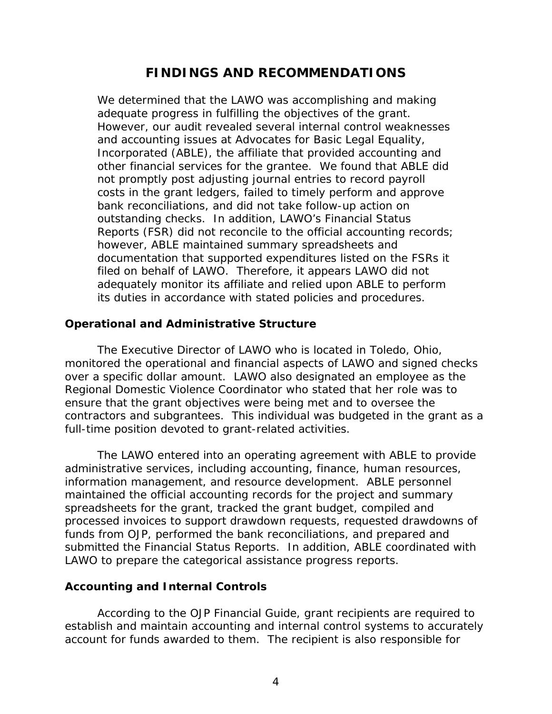# **FINDINGS AND RECOMMENDATIONS**

<span id="page-8-0"></span>We determined that the LAWO was accomplishing and making adequate progress in fulfilling the objectives of the grant. However, our audit revealed several internal control weaknesses and accounting issues at Advocates for Basic Legal Equality, Incorporated (ABLE), the affiliate that provided accounting and other financial services for the grantee. We found that ABLE did not promptly post adjusting journal entries to record payroll costs in the grant ledgers, failed to timely perform and approve bank reconciliations, and did not take follow-up action on outstanding checks. In addition, LAWO's Financial Status Reports (FSR) did not reconcile to the official accounting records; however, ABLE maintained summary spreadsheets and documentation that supported expenditures listed on the FSRs it filed on behalf of LAWO. Therefore, it appears LAWO did not adequately monitor its affiliate and relied upon ABLE to perform its duties in accordance with stated policies and procedures.

### <span id="page-8-1"></span>**Operational and Administrative Structure**

The Executive Director of LAWO who is located in Toledo, Ohio, monitored the operational and financial aspects of LAWO and signed checks over a specific dollar amount. LAWO also designated an employee as the Regional Domestic Violence Coordinator who stated that her role was to ensure that the grant objectives were being met and to oversee the contractors and subgrantees. This individual was budgeted in the grant as a full-time position devoted to grant-related activities.

The LAWO entered into an operating agreement with ABLE to provide administrative services, including accounting, finance, human resources, information management, and resource development. ABLE personnel maintained the official accounting records for the project and summary spreadsheets for the grant, tracked the grant budget, compiled and processed invoices to support drawdown requests, requested drawdowns of funds from OJP, performed the bank reconciliations, and prepared and submitted the Financial Status Reports. In addition, ABLE coordinated with LAWO to prepare the categorical assistance progress reports.

#### <span id="page-8-2"></span>**Accounting and Internal Controls**

According to the *OJP Financial Guide*, grant recipients are required to establish and maintain accounting and internal control systems to accurately account for funds awarded to them. The recipient is also responsible for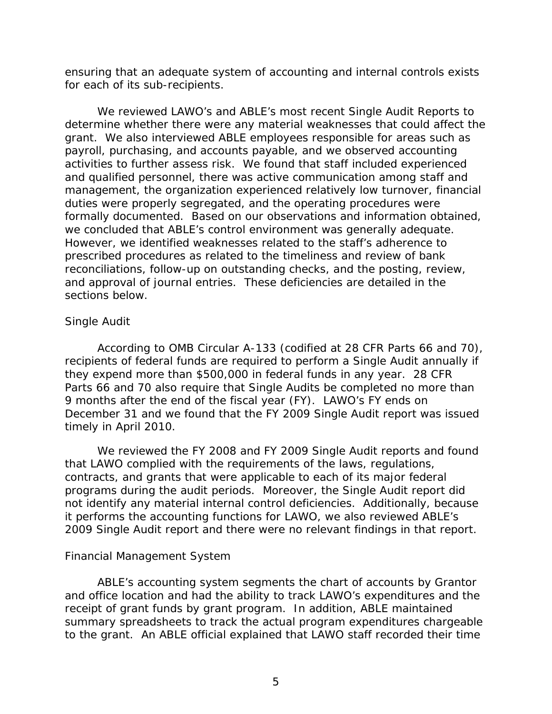ensuring that an adequate system of accounting and internal controls exists for each of its sub-recipients.

We reviewed LAWO's and ABLE's most recent Single Audit Reports to determine whether there were any material weaknesses that could affect the grant. We also interviewed ABLE employees responsible for areas such as payroll, purchasing, and accounts payable, and we observed accounting activities to further assess risk. We found that staff included experienced and qualified personnel, there was active communication among staff and management, the organization experienced relatively low turnover, financial duties were properly segregated, and the operating procedures were formally documented. Based on our observations and information obtained, we concluded that ABLE's control environment was generally adequate. However, we identified weaknesses related to the staff's adherence to prescribed procedures as related to the timeliness and review of bank reconciliations, follow-up on outstanding checks, and the posting, review, and approval of journal entries. These deficiencies are detailed in the sections below.

### *Single Audit*

According to OMB Circular A-133 (codified at 28 CFR Parts 66 and 70), recipients of federal funds are required to perform a Single Audit annually if they expend more than \$500,000 in federal funds in any year. 28 CFR Parts 66 and 70 also require that Single Audits be completed no more than 9 months after the end of the fiscal year (FY). LAWO's FY ends on December 31 and we found that the FY 2009 Single Audit report was issued timely in April 2010.

We reviewed the FY 2008 and FY 2009 Single Audit reports and found that LAWO complied with the requirements of the laws, regulations, contracts, and grants that were applicable to each of its major federal programs during the audit periods. Moreover, the Single Audit report did not identify any material internal control deficiencies. Additionally, because it performs the accounting functions for LAWO, we also reviewed ABLE's 2009 Single Audit report and there were no relevant findings in that report.

### *Financial Management System*

ABLE's accounting system segments the chart of accounts by Grantor and office location and had the ability to track LAWO's expenditures and the receipt of grant funds by grant program. In addition, ABLE maintained summary spreadsheets to track the actual program expenditures chargeable to the grant. An ABLE official explained that LAWO staff recorded their time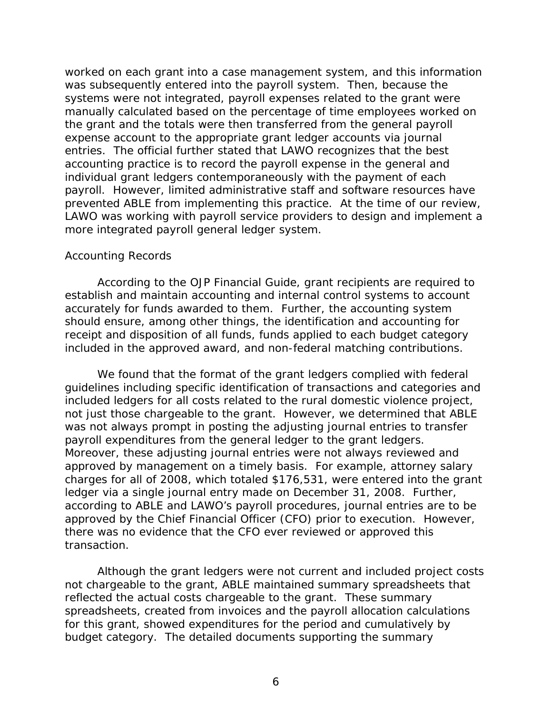worked on each grant into a case management system, and this information was subsequently entered into the payroll system. Then, because the systems were not integrated, payroll expenses related to the grant were manually calculated based on the percentage of time employees worked on the grant and the totals were then transferred from the general payroll expense account to the appropriate grant ledger accounts via journal entries. The official further stated that LAWO recognizes that the best accounting practice is to record the payroll expense in the general and individual grant ledgers contemporaneously with the payment of each payroll. However, limited administrative staff and software resources have prevented ABLE from implementing this practice. At the time of our review, LAWO was working with payroll service providers to design and implement a more integrated payroll general ledger system.

#### *Accounting Records*

According to the *OJP Financial Guide*, grant recipients are required to establish and maintain accounting and internal control systems to account accurately for funds awarded to them. Further, the accounting system should ensure, among other things, the identification and accounting for receipt and disposition of all funds, funds applied to each budget category included in the approved award, and non-federal matching contributions.

We found that the format of the grant ledgers complied with federal guidelines including specific identification of transactions and categories and included ledgers for all costs related to the rural domestic violence project, not just those chargeable to the grant. However, we determined that ABLE was not always prompt in posting the adjusting journal entries to transfer payroll expenditures from the general ledger to the grant ledgers. Moreover, these adjusting journal entries were not always reviewed and approved by management on a timely basis. For example, attorney salary charges for all of 2008, which totaled \$176,531, were entered into the grant ledger via a single journal entry made on December 31, 2008. Further, according to ABLE and LAWO's payroll procedures, journal entries are to be approved by the Chief Financial Officer (CFO) prior to execution. However, there was no evidence that the CFO ever reviewed or approved this transaction.

Although the grant ledgers were not current and included project costs not chargeable to the grant, ABLE maintained summary spreadsheets that reflected the actual costs chargeable to the grant. These summary spreadsheets, created from invoices and the payroll allocation calculations for this grant, showed expenditures for the period and cumulatively by budget category. The detailed documents supporting the summary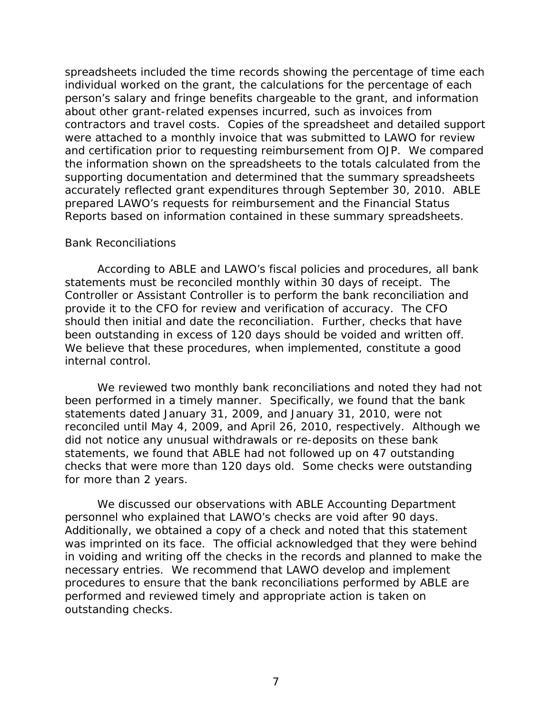spreadsheets included the time records showing the percentage of time each individual worked on the grant, the calculations for the percentage of each person's salary and fringe benefits chargeable to the grant, and information about other grant-related expenses incurred, such as invoices from contractors and travel costs. Copies of the spreadsheet and detailed support were attached to a monthly invoice that was submitted to LAWO for review and certification prior to requesting reimbursement from OJP. We compared the information shown on the spreadsheets to the totals calculated from the supporting documentation and determined that the summary spreadsheets accurately reflected grant expenditures through September 30, 2010. ABLE prepared LAWO's requests for reimbursement and the Financial Status Reports based on information contained in these summary spreadsheets.

#### *Bank Reconciliations*

According to ABLE and LAWO's fiscal policies and procedures, all bank statements must be reconciled monthly within 30 days of receipt. The Controller or Assistant Controller is to perform the bank reconciliation and provide it to the CFO for review and verification of accuracy. The CFO should then initial and date the reconciliation. Further, checks that have been outstanding in excess of 120 days should be voided and written off. We believe that these procedures, when implemented, constitute a good internal control.

We reviewed two monthly bank reconciliations and noted they had not been performed in a timely manner. Specifically, we found that the bank statements dated January 31, 2009, and January 31, 2010, were not reconciled until May 4, 2009, and April 26, 2010, respectively. Although we did not notice any unusual withdrawals or re-deposits on these bank statements, we found that ABLE had not followed up on 47 outstanding checks that were more than 120 days old. Some checks were outstanding for more than 2 years.

We discussed our observations with ABLE Accounting Department personnel who explained that LAWO's checks are void after 90 days. Additionally, we obtained a copy of a check and noted that this statement was imprinted on its face. The official acknowledged that they were behind in voiding and writing off the checks in the records and planned to make the necessary entries. We recommend that LAWO develop and implement procedures to ensure that the bank reconciliations performed by ABLE are performed and reviewed timely and appropriate action is taken on outstanding checks.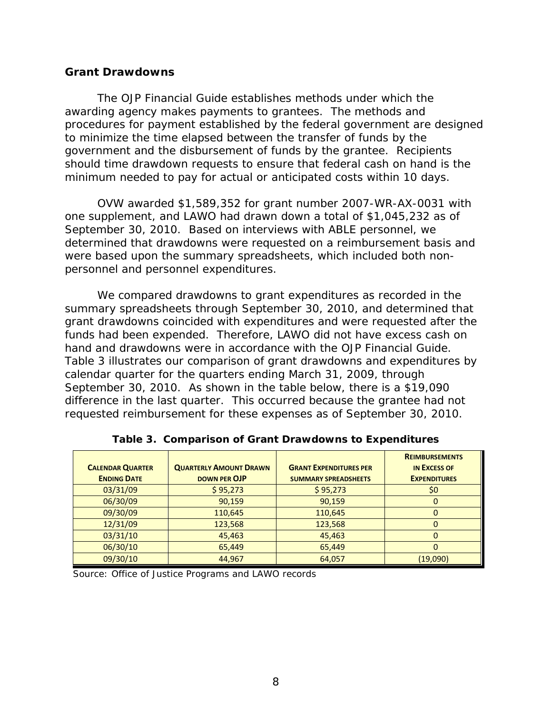#### <span id="page-12-0"></span>**Grant Drawdowns**

The *OJP Financial Guide* establishes methods under which the awarding agency makes payments to grantees. The methods and procedures for payment established by the federal government are designed to minimize the time elapsed between the transfer of funds by the government and the disbursement of funds by the grantee. Recipients should time drawdown requests to ensure that federal cash on hand is the minimum needed to pay for actual or anticipated costs within 10 days.

OVW awarded \$1,589,352 for grant number 2007-WR-AX-0031 with one supplement, and LAWO had drawn down a total of \$1,045,232 as of September 30, 2010. Based on interviews with ABLE personnel, we determined that drawdowns were requested on a reimbursement basis and were based upon the summary spreadsheets, which included both nonpersonnel and personnel expenditures.

We compared drawdowns to grant expenditures as recorded in the summary spreadsheets through September 30, 2010, and determined that grant drawdowns coincided with expenditures and were requested after the funds had been expended. Therefore, LAWO did not have excess cash on hand and drawdowns were in accordance with the *OJP Financial Guide*. Table 3 illustrates our comparison of grant drawdowns and expenditures by calendar quarter for the quarters ending March 31, 2009, through September 30, 2010. As shown in the table below, there is a \$19,090 difference in the last quarter. This occurred because the grantee had not requested reimbursement for these expenses as of September 30, 2010.

|                         |                               |                               | <b>REIMBURSEMENTS</b> |
|-------------------------|-------------------------------|-------------------------------|-----------------------|
| <b>CALENDAR QUARTER</b> | <b>QUARTERLY AMOUNT DRAWN</b> | <b>GRANT EXPENDITURES PER</b> | <b>IN EXCESS OF</b>   |
| <b>ENDING DATE</b>      | DOWN PER OJP                  | <b>SUMMARY SPREADSHEETS</b>   | <b>EXPENDITURES</b>   |
| 03/31/09                | \$95,273                      | \$95,273                      | \$0                   |
| 06/30/09                | 90,159                        | 90,159                        | O                     |
| 09/30/09                | 110,645                       | 110,645                       | 0                     |
| 12/31/09                | 123,568                       | 123,568                       | 0                     |
| 03/31/10                | 45,463                        | 45,463                        | 0                     |
| 06/30/10                | 65,449                        | 65,449                        | 0                     |
| 09/30/10                | 44,967                        | 64,057                        | (19,090)              |

**Table 3. Comparison of Grant Drawdowns to Expenditures**

Source: Office of Justice Programs and LAWO records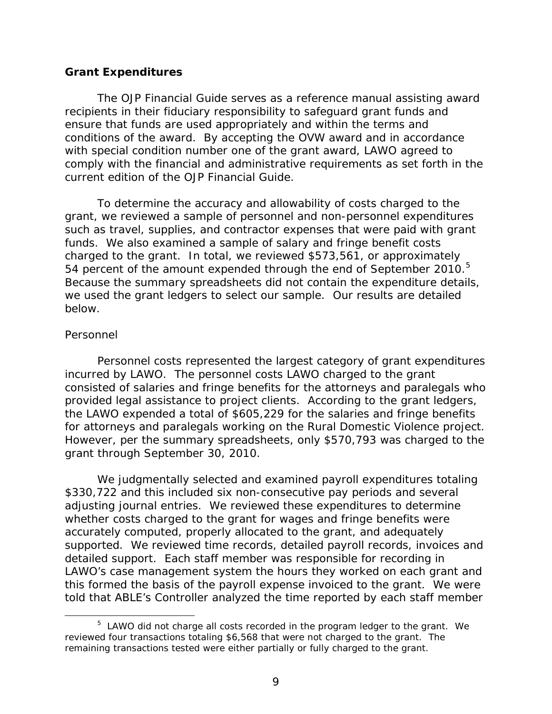#### <span id="page-13-0"></span>**Grant Expenditures**

The *OJP Financial Guide* serves as a reference manual assisting award recipients in their fiduciary responsibility to safeguard grant funds and ensure that funds are used appropriately and within the terms and conditions of the award. By accepting the OVW award and in accordance with special condition number one of the grant award, LAWO agreed to comply with the financial and administrative requirements as set forth in the current edition of the *OJP Financial Guide*.

To determine the accuracy and allowability of costs charged to the grant, we reviewed a sample of personnel and non-personnel expenditures such as travel, supplies, and contractor expenses that were paid with grant funds. We also examined a sample of salary and fringe benefit costs charged to the grant. In total, we reviewed \$573,561, or approximately [5](#page-13-1)4 percent of the amount expended through the end of September 2010.<sup>5</sup> Because the summary spreadsheets did not contain the expenditure details, we used the grant ledgers to select our sample. Our results are detailed below.

#### *Personnel*

Personnel costs represented the largest category of grant expenditures incurred by LAWO. The personnel costs LAWO charged to the grant consisted of salaries and fringe benefits for the attorneys and paralegals who provided legal assistance to project clients. According to the grant ledgers, the LAWO expended a total of \$605,229 for the salaries and fringe benefits for attorneys and paralegals working on the Rural Domestic Violence project. However, per the summary spreadsheets, only \$570,793 was charged to the grant through September 30, 2010.

We judgmentally selected and examined payroll expenditures totaling \$330,722 and this included six non-consecutive pay periods and several adjusting journal entries. We reviewed these expenditures to determine whether costs charged to the grant for wages and fringe benefits were accurately computed, properly allocated to the grant, and adequately supported. We reviewed time records, detailed payroll records, invoices and detailed support. Each staff member was responsible for recording in LAWO's case management system the hours they worked on each grant and this formed the basis of the payroll expense invoiced to the grant. We were told that ABLE's Controller analyzed the time reported by each staff member

<span id="page-13-1"></span> $\frac{1}{5}$  $5$  LAWO did not charge all costs recorded in the program ledger to the grant. We reviewed four transactions totaling \$6,568 that were not charged to the grant. The remaining transactions tested were either partially or fully charged to the grant.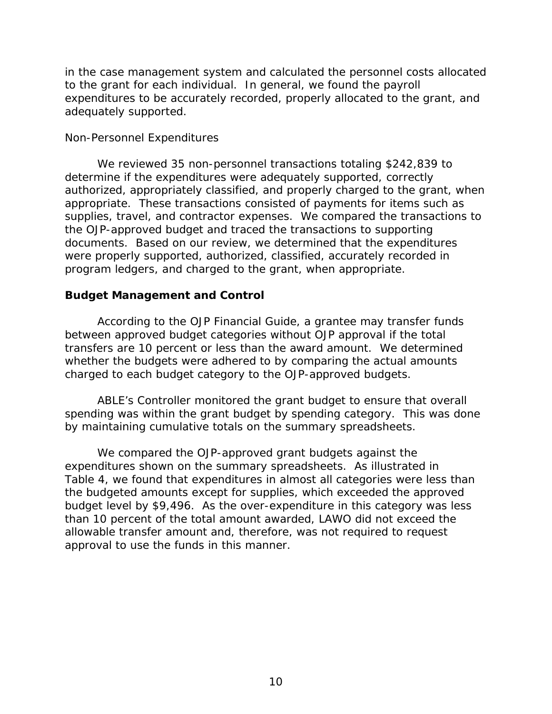in the case management system and calculated the personnel costs allocated to the grant for each individual. In general, we found the payroll expenditures to be accurately recorded, properly allocated to the grant, and adequately supported.

### *Non-Personnel Expenditures*

We reviewed 35 non-personnel transactions totaling \$242,839 to determine if the expenditures were adequately supported, correctly authorized, appropriately classified, and properly charged to the grant, when appropriate. These transactions consisted of payments for items such as supplies, travel, and contractor expenses. We compared the transactions to the OJP-approved budget and traced the transactions to supporting documents. Based on our review, we determined that the expenditures were properly supported, authorized, classified, accurately recorded in program ledgers, and charged to the grant, when appropriate.

### <span id="page-14-0"></span>**Budget Management and Control**

According to the *OJP Financial Guide*, a grantee may transfer funds between approved budget categories without OJP approval if the total transfers are 10 percent or less than the award amount. We determined whether the budgets were adhered to by comparing the actual amounts charged to each budget category to the OJP-approved budgets.

ABLE's Controller monitored the grant budget to ensure that overall spending was within the grant budget by spending category. This was done by maintaining cumulative totals on the summary spreadsheets.

We compared the OJP-approved grant budgets against the expenditures shown on the summary spreadsheets. As illustrated in Table 4, we found that expenditures in almost all categories were less than the budgeted amounts except for supplies, which exceeded the approved budget level by \$9,496. As the over-expenditure in this category was less than 10 percent of the total amount awarded, LAWO did not exceed the allowable transfer amount and, therefore, was not required to request approval to use the funds in this manner.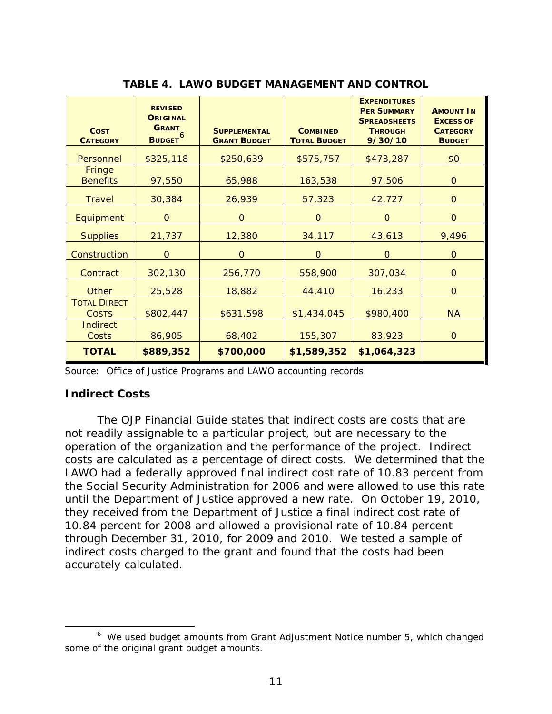| <b>COST</b><br><b>CATEGORY</b>      | <b>REVISED</b><br><b>ORIGINAL</b><br><b>GRANT</b><br>BUDGET <sup>6</sup> | <b>SUPPLEMENTAL</b><br><b>GRANT BUDGET</b> | <b>COMBINED</b><br><b>TOTAL BUDGET</b> | <b>EXPENDITURES</b><br><b>PER SUMMARY</b><br><b>SPREADSHEETS</b><br><b>THROUGH</b><br>9/30/10 | <b>AMOUNT IN</b><br><b>EXCESS OF</b><br><b>CATEGORY</b><br><b>BUDGET</b> |
|-------------------------------------|--------------------------------------------------------------------------|--------------------------------------------|----------------------------------------|-----------------------------------------------------------------------------------------------|--------------------------------------------------------------------------|
| Personnel                           | \$325,118                                                                | \$250,639                                  | \$575,757                              | \$473,287                                                                                     | \$0                                                                      |
| <b>Fringe</b><br><b>Benefits</b>    | 97,550                                                                   | 65,988                                     | 163,538                                | 97,506                                                                                        | $\Omega$                                                                 |
| <b>Travel</b>                       | 30,384                                                                   | 26,939                                     | 57,323                                 | 42,727                                                                                        | $\mathbf 0$                                                              |
| Equipment                           | $\overline{O}$                                                           | $\Omega$                                   | $\mathbf{O}$                           | $\mathbf{O}$                                                                                  | $\Omega$                                                                 |
| <b>Supplies</b>                     | 21,737                                                                   | 12,380                                     | 34,117                                 | 43,613                                                                                        | 9,496                                                                    |
| Construction                        | $\Omega$                                                                 | $\Omega$                                   | $\mathbf{O}$                           | $\overline{O}$                                                                                | $\mathbf{O}$                                                             |
| Contract                            | 302,130                                                                  | 256,770                                    | 558,900                                | 307,034                                                                                       | $\Omega$                                                                 |
| Other                               | 25,528                                                                   | 18,882                                     | 44,410                                 | 16,233                                                                                        | $\mathbf{O}$                                                             |
| <b>TOTAL DIRECT</b><br><b>COSTS</b> | \$802,447                                                                | \$631,598                                  | \$1,434,045                            | \$980,400                                                                                     | <b>NA</b>                                                                |
| <b>Indirect</b><br>Costs            | 86,905                                                                   | 68,402                                     | 155,307                                | 83,923                                                                                        | $\Omega$                                                                 |
| <b>TOTAL</b>                        | \$889,352                                                                | \$700,000                                  | \$1,589,352                            | \$1,064,323                                                                                   |                                                                          |

**TABLE 4. LAWO BUDGET MANAGEMENT AND CONTROL**

Source: Office of Justice Programs and LAWO accounting records

#### <span id="page-15-0"></span>**Indirect Costs**

The *OJP Financial Guide* states that indirect costs are costs that are not readily assignable to a particular project, but are necessary to the operation of the organization and the performance of the project. Indirect costs are calculated as a percentage of direct costs. We determined that the LAWO had a federally approved final indirect cost rate of 10.83 percent from the Social Security Administration for 2006 and were allowed to use this rate until the Department of Justice approved a new rate. On October 19, 2010, they received from the Department of Justice a final indirect cost rate of 10.84 percent for 2008 and allowed a provisional rate of 10.84 percent through December 31, 2010, for 2009 and 2010. We tested a sample of indirect costs charged to the grant and found that the costs had been accurately calculated.

<span id="page-15-1"></span> <sup>6</sup>  $6$  We used budget amounts from Grant Adjustment Notice number 5, which changed some of the original grant budget amounts.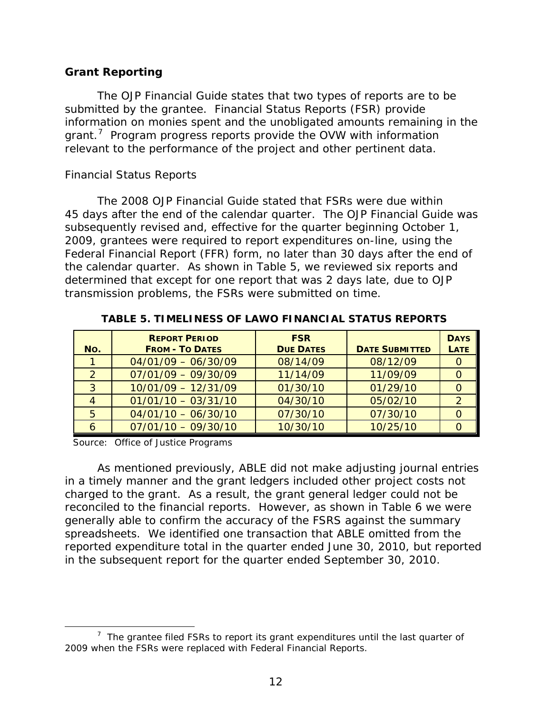### <span id="page-16-0"></span>**Grant Reporting**

The *OJP Financial Guide* states that two types of reports are to be submitted by the grantee. Financial Status Reports (FSR) provide information on monies spent and the unobligated amounts remaining in the grant.<sup>[7](#page-16-1)</sup> Program progress reports provide the OVW with information relevant to the performance of the project and other pertinent data.

### *Financial Status Reports*

The 2008 *OJP Financial Guide* stated that FSRs were due within 45 days after the end of the calendar quarter. The *OJP Financial Guide* was subsequently revised and, effective for the quarter beginning October 1, 2009, grantees were required to report expenditures on-line, using the Federal Financial Report (FFR) form, no later than 30 days after the end of the calendar quarter. As shown in Table 5, we reviewed six reports and determined that except for one report that was 2 days late, due to OJP transmission problems, the FSRs were submitted on time.

| No.           | <b>REPORT PERIOD</b><br><b>FROM - TO DATES</b> | <b>FSR</b><br><b>DUE DATES</b> | <b>DATE SUBMITTED</b> | <b>DAYS</b><br><b>LATE</b> |
|---------------|------------------------------------------------|--------------------------------|-----------------------|----------------------------|
|               | $04/01/09 - 06/30/09$                          | 08/14/09                       | 08/12/09              |                            |
| $\mathcal{P}$ | $07/01/09 - 09/30/09$                          | 11/14/09                       | 11/09/09              |                            |
| 3             | $10/01/09 - 12/31/09$                          | 01/30/10                       | 01/29/10              |                            |
|               | $01/01/10 - 03/31/10$                          | 04/30/10                       | 05/02/10              |                            |
| 5             | $04/01/10 - 06/30/10$                          | 07/30/10                       | 07/30/10              |                            |
|               | $07/01/10 - 09/30/10$                          | 10/30/10                       | 10/25/10              |                            |

**TABLE 5. TIMELINESS OF LAWO FINANCIAL STATUS REPORTS**

Source: Office of Justice Programs

As mentioned previously, ABLE did not make adjusting journal entries in a timely manner and the grant ledgers included other project costs not charged to the grant. As a result, the grant general ledger could not be reconciled to the financial reports. However, as shown in Table 6 we were generally able to confirm the accuracy of the FSRS against the summary spreadsheets. We identified one transaction that ABLE omitted from the reported expenditure total in the quarter ended June 30, 2010, but reported in the subsequent report for the quarter ended September 30, 2010.

<span id="page-16-1"></span> $\overline{7}$  $\frac{7}{1}$  The grantee filed FSRs to report its grant expenditures until the last quarter of 2009 when the FSRs were replaced with Federal Financial Reports.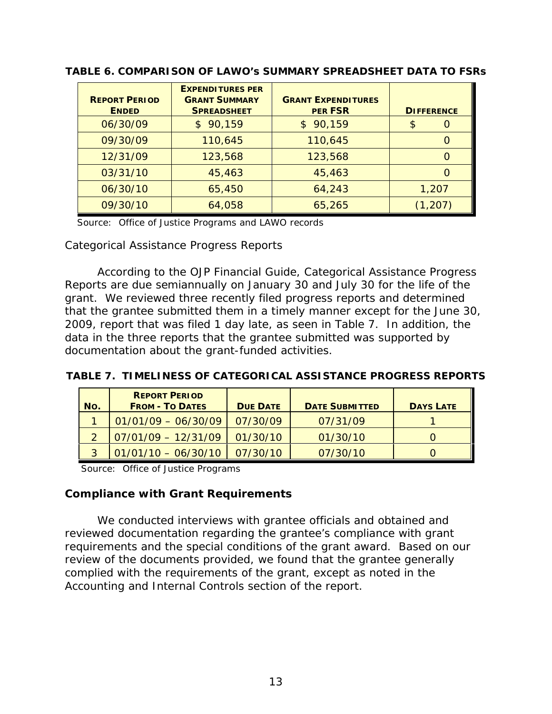| <b>REPORT PERIOD</b><br><b>ENDED</b> | <b>EXPENDITURES PER</b><br><b>GRANT SUMMARY</b><br><b>SPREADSHEET</b> | <b>GRANT EXPENDITURES</b><br><b>PER FSR</b> | <b>DIFFERENCE</b> |
|--------------------------------------|-----------------------------------------------------------------------|---------------------------------------------|-------------------|
| 06/30/09                             | \$90,159                                                              | \$90,159                                    | \$<br>$\Omega$    |
| 09/30/09                             | 110,645                                                               | 110,645                                     | $\Omega$          |
| 12/31/09                             | 123,568                                                               | 123,568                                     | 0                 |
| 03/31/10                             | 45,463                                                                | 45,463                                      | $\Omega$          |
| 06/30/10                             | 65,450                                                                | 64,243                                      | 1,207             |
| 09/30/10                             | 64,058                                                                | 65,265                                      | (1, 207)          |

**TABLE 6. COMPARISON OF LAWO's SUMMARY SPREADSHEET DATA TO FSRs**

Source: Office of Justice Programs and LAWO records

*Categorical Assistance Progress Reports*

According to the *OJP Financial Guide*, Categorical Assistance Progress Reports are due semiannually on January 30 and July 30 for the life of the grant. We reviewed three recently filed progress reports and determined that the grantee submitted them in a timely manner except for the June 30, 2009, report that was filed 1 day late, as seen in Table 7. In addition, the data in the three reports that the grantee submitted was supported by documentation about the grant-funded activities.

**TABLE 7. TIMELINESS OF CATEGORICAL ASSISTANCE PROGRESS REPORTS**

| No. | <b>REPORT PERIOD</b><br><b>FROM - TO DATES</b> | <b>DUE DATE</b> | <b>DATE SUBMITTED</b> | <b>DAYS LATE</b> |
|-----|------------------------------------------------|-----------------|-----------------------|------------------|
|     | $01/01/09 - 06/30/09$                          | 07/30/09        | 07/31/09              |                  |
|     | $07/01/09 - 12/31/09$                          | 01/30/10        | 01/30/10              |                  |
|     | $01/01/10 - 06/30/10$                          | 07/30/10        | 07/30/10              |                  |

Source: Office of Justice Programs

#### <span id="page-17-0"></span>**Compliance with Grant Requirements**

We conducted interviews with grantee officials and obtained and reviewed documentation regarding the grantee's compliance with grant requirements and the special conditions of the grant award. Based on our review of the documents provided, we found that the grantee generally complied with the requirements of the grant, except as noted in the Accounting and Internal Controls section of the report.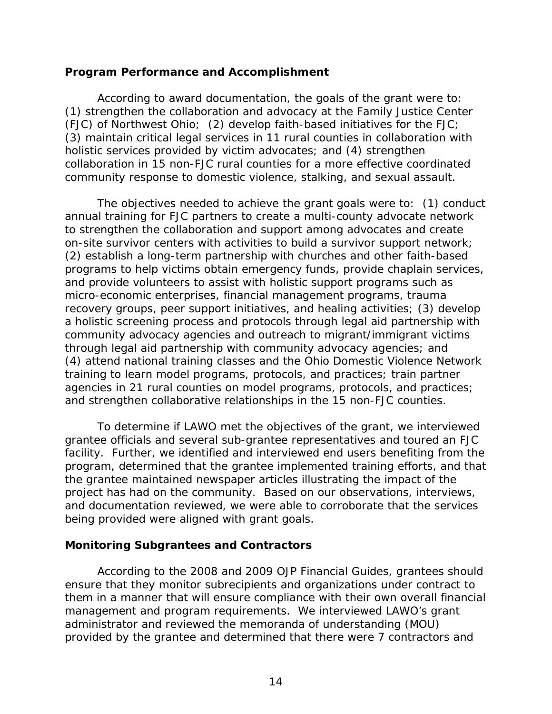#### <span id="page-18-0"></span>**Program Performance and Accomplishment**

According to award documentation, the goals of the grant were to: (1) strengthen the collaboration and advocacy at the Family Justice Center (FJC) of Northwest Ohio; (2) develop faith-based initiatives for the FJC; (3) maintain critical legal services in 11 rural counties in collaboration with holistic services provided by victim advocates; and (4) strengthen collaboration in 15 non-FJC rural counties for a more effective coordinated community response to domestic violence, stalking, and sexual assault.

The objectives needed to achieve the grant goals were to: (1) conduct annual training for FJC partners to create a multi-county advocate network to strengthen the collaboration and support among advocates and create on-site survivor centers with activities to build a survivor support network; (2) establish a long-term partnership with churches and other faith-based programs to help victims obtain emergency funds, provide chaplain services, and provide volunteers to assist with holistic support programs such as micro-economic enterprises, financial management programs, trauma recovery groups, peer support initiatives, and healing activities; (3) develop a holistic screening process and protocols through legal aid partnership with community advocacy agencies and outreach to migrant/immigrant victims through legal aid partnership with community advocacy agencies; and (4) attend national training classes and the Ohio Domestic Violence Network training to learn model programs, protocols, and practices; train partner agencies in 21 rural counties on model programs, protocols, and practices; and strengthen collaborative relationships in the 15 non-FJC counties.

To determine if LAWO met the objectives of the grant, we interviewed grantee officials and several sub-grantee representatives and toured an FJC facility. Further, we identified and interviewed end users benefiting from the program, determined that the grantee implemented training efforts, and that the grantee maintained newspaper articles illustrating the impact of the project has had on the community. Based on our observations, interviews, and documentation reviewed, we were able to corroborate that the services being provided were aligned with grant goals.

### <span id="page-18-1"></span>**Monitoring Subgrantees and Contractors**

According to the 2008 and 2009 *OJP Financial Guides*, grantees should ensure that they monitor subrecipients and organizations under contract to them in a manner that will ensure compliance with their own overall financial management and program requirements. We interviewed LAWO's grant administrator and reviewed the memoranda of understanding (MOU) provided by the grantee and determined that there were 7 contractors and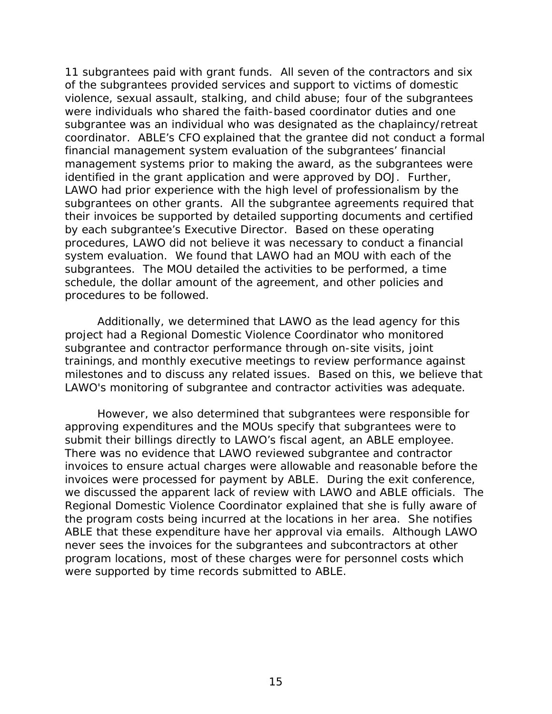11 subgrantees paid with grant funds. All seven of the contractors and six of the subgrantees provided services and support to victims of domestic violence, sexual assault, stalking, and child abuse; four of the subgrantees were individuals who shared the faith-based coordinator duties and one subgrantee was an individual who was designated as the chaplaincy/retreat coordinator. ABLE's CFO explained that the grantee did not conduct a formal financial management system evaluation of the subgrantees' financial management systems prior to making the award, as the subgrantees were identified in the grant application and were approved by DOJ. Further, LAWO had prior experience with the high level of professionalism by the subgrantees on other grants. All the subgrantee agreements required that their invoices be supported by detailed supporting documents and certified by each subgrantee's Executive Director. Based on these operating procedures, LAWO did not believe it was necessary to conduct a financial system evaluation. We found that LAWO had an MOU with each of the subgrantees. The MOU detailed the activities to be performed, a time schedule, the dollar amount of the agreement, and other policies and procedures to be followed.

Additionally, we determined that LAWO as the lead agency for this project had a Regional Domestic Violence Coordinator who monitored subgrantee and contractor performance through on-site visits, joint trainings, and monthly executive meetings to review performance against milestones and to discuss any related issues. Based on this, we believe that LAWO's monitoring of subgrantee and contractor activities was adequate.

However, we also determined that subgrantees were responsible for approving expenditures and the MOUs specify that subgrantees were to submit their billings directly to LAWO's fiscal agent, an ABLE employee. There was no evidence that LAWO reviewed subgrantee and contractor invoices to ensure actual charges were allowable and reasonable before the invoices were processed for payment by ABLE. During the exit conference, we discussed the apparent lack of review with LAWO and ABLE officials. The Regional Domestic Violence Coordinator explained that she is fully aware of the program costs being incurred at the locations in her area. She notifies ABLE that these expenditure have her approval via emails. Although LAWO never sees the invoices for the subgrantees and subcontractors at other program locations, most of these charges were for personnel costs which were supported by time records submitted to ABLE.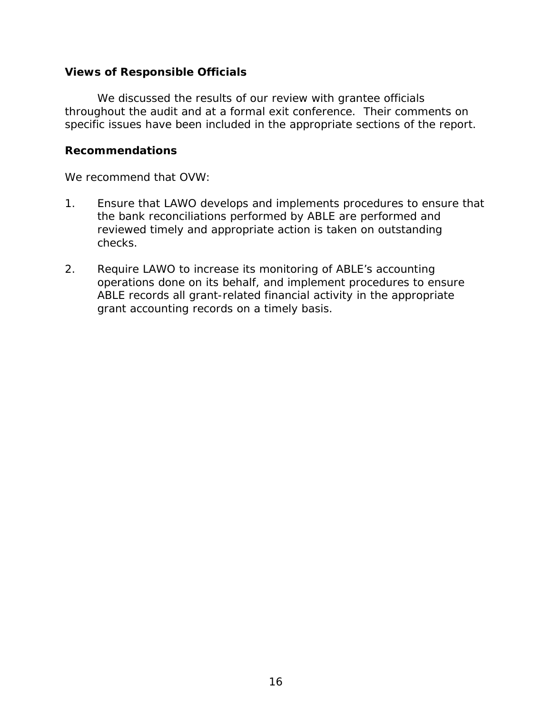### <span id="page-20-0"></span>**Views of Responsible Officials**

We discussed the results of our review with grantee officials throughout the audit and at a formal exit conference. Their comments on specific issues have been included in the appropriate sections of the report.

#### <span id="page-20-1"></span>**Recommendations**

We recommend that OVW:

- 1. Ensure that LAWO develops and implements procedures to ensure that the bank reconciliations performed by ABLE are performed and reviewed timely and appropriate action is taken on outstanding checks.
- 2. Require LAWO to increase its monitoring of ABLE's accounting operations done on its behalf, and implement procedures to ensure ABLE records all grant-related financial activity in the appropriate grant accounting records on a timely basis.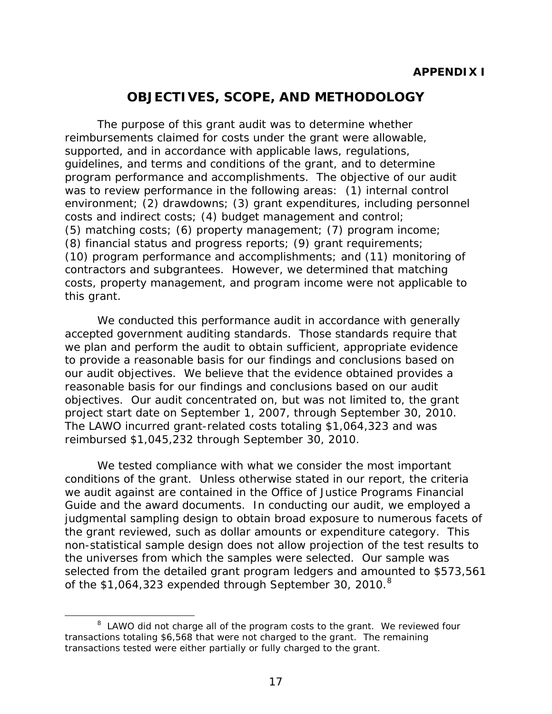# **OBJECTIVES, SCOPE, AND METHODOLOGY**

<span id="page-21-0"></span>The purpose of this grant audit was to determine whether reimbursements claimed for costs under the grant were allowable, supported, and in accordance with applicable laws, regulations, guidelines, and terms and conditions of the grant, and to determine program performance and accomplishments. The objective of our audit was to review performance in the following areas: (1) internal control environment; (2) drawdowns; (3) grant expenditures, including personnel costs and indirect costs; (4) budget management and control; (5) matching costs; (6) property management; (7) program income; (8) financial status and progress reports; (9) grant requirements; (10) program performance and accomplishments; and (11) monitoring of contractors and subgrantees. However, we determined that matching costs, property management, and program income were not applicable to this grant.

We conducted this performance audit in accordance with generally accepted government auditing standards. Those standards require that we plan and perform the audit to obtain sufficient, appropriate evidence to provide a reasonable basis for our findings and conclusions based on our audit objectives. We believe that the evidence obtained provides a reasonable basis for our findings and conclusions based on our audit objectives. Our audit concentrated on, but was not limited to, the grant project start date on September 1, 2007, through September 30, 2010. The LAWO incurred grant-related costs totaling \$1,064,323 and was reimbursed \$1,045,232 through September 30, 2010.

We tested compliance with what we consider the most important conditions of the grant. Unless otherwise stated in our report, the criteria we audit against are contained in the Office of Justice Programs *Financial Guide* and the award documents. In conducting our audit, we employed a judgmental sampling design to obtain broad exposure to numerous facets of the grant reviewed, such as dollar amounts or expenditure category. This non-statistical sample design does not allow projection of the test results to the universes from which the samples were selected. Our sample was selected from the detailed grant program ledgers and amounted to \$573,561 of the \$1,064,323 expended through September 30, 2010. $8$ 

<span id="page-21-1"></span> <sup>8</sup>  $8$  LAWO did not charge all of the program costs to the grant. We reviewed four transactions totaling \$6,568 that were not charged to the grant. The remaining transactions tested were either partially or fully charged to the grant.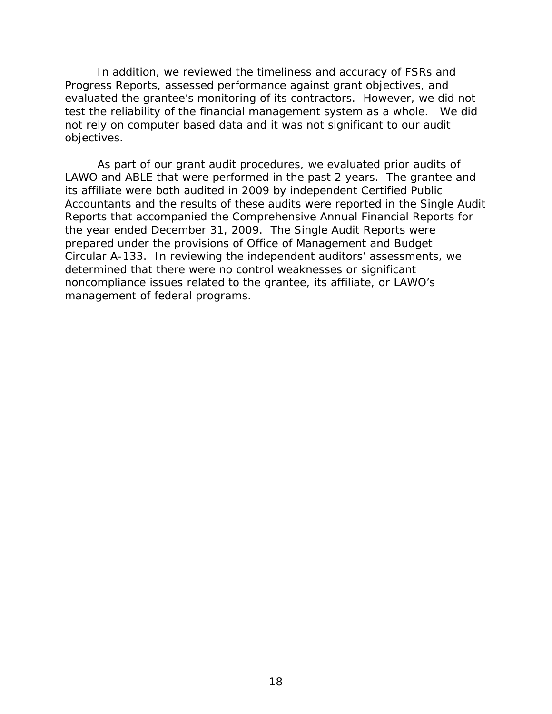In addition, we reviewed the timeliness and accuracy of FSRs and Progress Reports, assessed performance against grant objectives, and evaluated the grantee's monitoring of its contractors. However, we did not test the reliability of the financial management system as a whole. We did not rely on computer based data and it was not significant to our audit objectives.

As part of our grant audit procedures, we evaluated prior audits of LAWO and ABLE that were performed in the past 2 years. The grantee and its affiliate were both audited in 2009 by independent Certified Public Accountants and the results of these audits were reported in the Single Audit Reports that accompanied the Comprehensive Annual Financial Reports for the year ended December 31, 2009. The Single Audit Reports were prepared under the provisions of Office of Management and Budget Circular A-133. In reviewing the independent auditors' assessments, we determined that there were no control weaknesses or significant noncompliance issues related to the grantee, its affiliate, or LAWO's management of federal programs.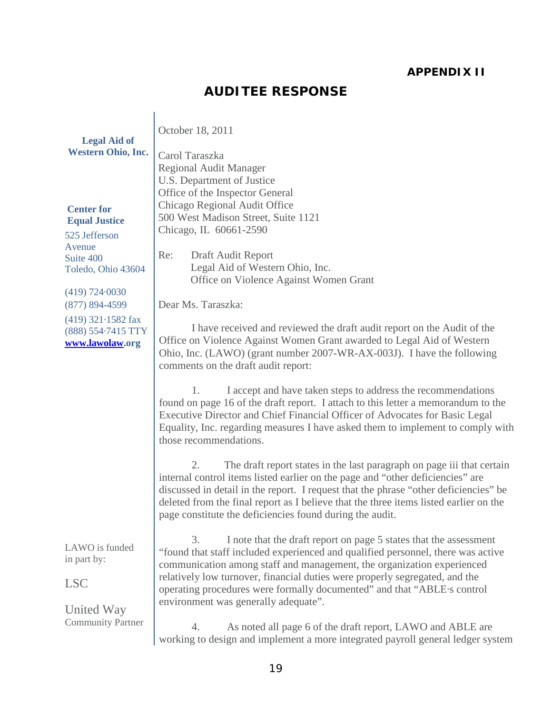### **APPENDIX II**

# **AUDITEE RESPONSE**

<span id="page-23-0"></span>

| <b>Legal Aid of</b><br><b>Western Ohio, Inc.</b>                                                        | October 18, 2011<br>Carol Taraszka<br><b>Regional Audit Manager</b><br>U.S. Department of Justice                                                                                                                                                                                                                                                                                                                                       |
|---------------------------------------------------------------------------------------------------------|-----------------------------------------------------------------------------------------------------------------------------------------------------------------------------------------------------------------------------------------------------------------------------------------------------------------------------------------------------------------------------------------------------------------------------------------|
| <b>Center for</b><br><b>Equal Justice</b><br>525 Jefferson<br>Avenue<br>Suite 400<br>Toledo, Ohio 43604 | Office of the Inspector General<br>Chicago Regional Audit Office<br>500 West Madison Street, Suite 1121<br>Chicago, IL 60661-2590<br>Re:<br>Draft Audit Report<br>Legal Aid of Western Ohio, Inc.<br>Office on Violence Against Women Grant                                                                                                                                                                                             |
| (419) 724.0030<br>$(877) 894 - 4599$                                                                    | Dear Ms. Taraszka:                                                                                                                                                                                                                                                                                                                                                                                                                      |
| $(419)$ 321 $\cdot$ 1582 fax<br>(888) 554.7415 TTY<br>www.lawolaw.org                                   | I have received and reviewed the draft audit report on the Audit of the<br>Office on Violence Against Women Grant awarded to Legal Aid of Western<br>Ohio, Inc. (LAWO) (grant number 2007-WR-AX-003J). I have the following<br>comments on the draft audit report:                                                                                                                                                                      |
|                                                                                                         | I accept and have taken steps to address the recommendations<br>1.<br>found on page 16 of the draft report. I attach to this letter a memorandum to the<br>Executive Director and Chief Financial Officer of Advocates for Basic Legal<br>Equality, Inc. regarding measures I have asked them to implement to comply with<br>those recommendations.                                                                                     |
|                                                                                                         | The draft report states in the last paragraph on page iii that certain<br>2.<br>internal control items listed earlier on the page and "other deficiencies" are<br>discussed in detail in the report. I request that the phrase "other deficiencies" be<br>deleted from the final report as I believe that the three items listed earlier on the<br>page constitute the deficiencies found during the audit.                             |
| LAWO is funded<br>in part by:<br><b>LSC</b><br>United Way                                               | I note that the draft report on page 5 states that the assessment<br>3.<br>"found that staff included experienced and qualified personnel, there was active<br>communication among staff and management, the organization experienced<br>relatively low turnover, financial duties were properly segregated, and the<br>operating procedures were formally documented" and that "ABLE·s control<br>environment was generally adequate". |
| <b>Community Partner</b>                                                                                | As noted all page 6 of the draft report, LAWO and ABLE are<br>4.<br>working to design and implement a more integrated payroll general ledger system                                                                                                                                                                                                                                                                                     |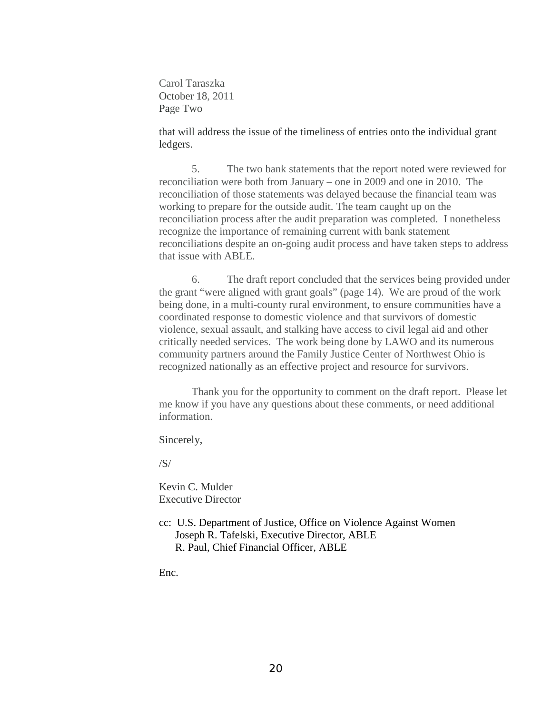Carol Taraszka October 18, 2011 Page Two

that will address the issue of the timeliness of entries onto the individual grant ledgers.

5. The two bank statements that the report noted were reviewed for reconciliation were both from January – one in 2009 and one in 2010. The reconciliation of those statements was delayed because the financial team was working to prepare for the outside audit. The team caught up on the reconciliation process after the audit preparation was completed. I nonetheless recognize the importance of remaining current with bank statement reconciliations despite an on-going audit process and have taken steps to address that issue with ABLE.

6. The draft report concluded that the services being provided under the grant "were aligned with grant goals" (page 14). We are proud of the work being done, in a multi-county rural environment, to ensure communities have a coordinated response to domestic violence and that survivors of domestic violence, sexual assault, and stalking have access to civil legal aid and other critically needed services. The work being done by LAWO and its numerous community partners around the Family Justice Center of Northwest Ohio is recognized nationally as an effective project and resource for survivors.

Thank you for the opportunity to comment on the draft report. Please let me know if you have any questions about these comments, or need additional information.

Sincerely,

 $/S/$ 

Kevin C. Mulder Executive Director

cc: U.S. Department of Justice, Office on Violence Against Women Joseph R. Tafelski, Executive Director, ABLE R. Paul, Chief Financial Officer, ABLE

Enc.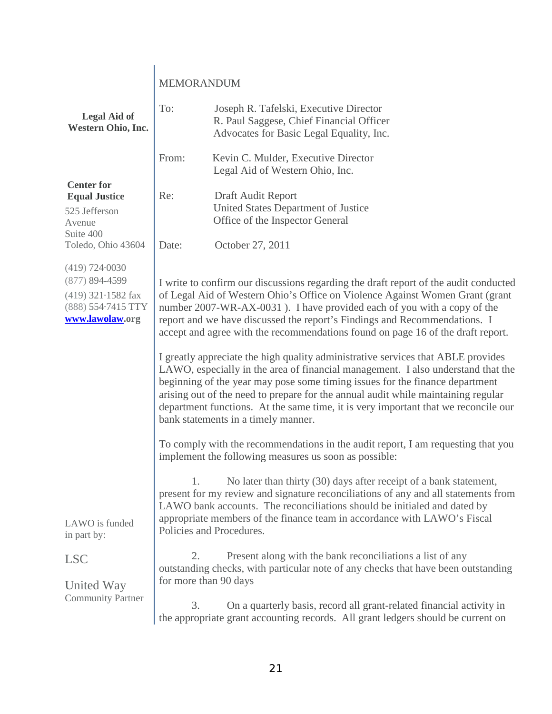|                                                                                                               | MEMORANDUM                                                                                                                                                                                                                                                                                                                                                                                                      |                                                                                                                                                                                                                                                                                                                                                                                                                                                                        |
|---------------------------------------------------------------------------------------------------------------|-----------------------------------------------------------------------------------------------------------------------------------------------------------------------------------------------------------------------------------------------------------------------------------------------------------------------------------------------------------------------------------------------------------------|------------------------------------------------------------------------------------------------------------------------------------------------------------------------------------------------------------------------------------------------------------------------------------------------------------------------------------------------------------------------------------------------------------------------------------------------------------------------|
| <b>Legal Aid of</b><br>Western Ohio, Inc.                                                                     | To:                                                                                                                                                                                                                                                                                                                                                                                                             | Joseph R. Tafelski, Executive Director<br>R. Paul Saggese, Chief Financial Officer<br>Advocates for Basic Legal Equality, Inc.                                                                                                                                                                                                                                                                                                                                         |
|                                                                                                               | From:                                                                                                                                                                                                                                                                                                                                                                                                           | Kevin C. Mulder, Executive Director<br>Legal Aid of Western Ohio, Inc.                                                                                                                                                                                                                                                                                                                                                                                                 |
| <b>Center for</b><br><b>Equal Justice</b><br>525 Jefferson<br>Avenue<br>Suite 400                             | Re:                                                                                                                                                                                                                                                                                                                                                                                                             | Draft Audit Report<br>United States Department of Justice<br>Office of the Inspector General                                                                                                                                                                                                                                                                                                                                                                           |
| Toledo, Ohio 43604                                                                                            | Date:                                                                                                                                                                                                                                                                                                                                                                                                           | October 27, 2011                                                                                                                                                                                                                                                                                                                                                                                                                                                       |
| (419) 724.0030<br>$(877) 894 - 4599$<br>$(419)$ 321 $\cdot$ 1582 fax<br>(888) 554-7415 TTY<br>www.lawolaw.org | I write to confirm our discussions regarding the draft report of the audit conducted<br>of Legal Aid of Western Ohio's Office on Violence Against Women Grant (grant<br>number 2007-WR-AX-0031). I have provided each of you with a copy of the<br>report and we have discussed the report's Findings and Recommendations. I<br>accept and agree with the recommendations found on page 16 of the draft report. |                                                                                                                                                                                                                                                                                                                                                                                                                                                                        |
|                                                                                                               |                                                                                                                                                                                                                                                                                                                                                                                                                 | I greatly appreciate the high quality administrative services that ABLE provides<br>LAWO, especially in the area of financial management. I also understand that the<br>beginning of the year may pose some timing issues for the finance department<br>arising out of the need to prepare for the annual audit while maintaining regular<br>department functions. At the same time, it is very important that we reconcile our<br>bank statements in a timely manner. |
|                                                                                                               |                                                                                                                                                                                                                                                                                                                                                                                                                 | To comply with the recommendations in the audit report, I am requesting that you<br>implement the following measures us soon as possible:                                                                                                                                                                                                                                                                                                                              |
|                                                                                                               | 1.                                                                                                                                                                                                                                                                                                                                                                                                              | No later than thirty (30) days after receipt of a bank statement,<br>present for my review and signature reconciliations of any and all statements from<br>LAWO bank accounts. The reconciliations should be initialed and dated by<br>appropriate members of the finance team in accordance with LAWO's Fiscal                                                                                                                                                        |
| LAWO is funded<br>in part by:                                                                                 |                                                                                                                                                                                                                                                                                                                                                                                                                 | Policies and Procedures.                                                                                                                                                                                                                                                                                                                                                                                                                                               |
| <b>LSC</b><br>United Way                                                                                      | 2.<br>for more than 90 days                                                                                                                                                                                                                                                                                                                                                                                     | Present along with the bank reconciliations a list of any<br>outstanding checks, with particular note of any checks that have been outstanding                                                                                                                                                                                                                                                                                                                         |
| <b>Community Partner</b>                                                                                      | 3.                                                                                                                                                                                                                                                                                                                                                                                                              | On a quarterly basis, record all grant-related financial activity in<br>the appropriate grant accounting records. All grant ledgers should be current on                                                                                                                                                                                                                                                                                                               |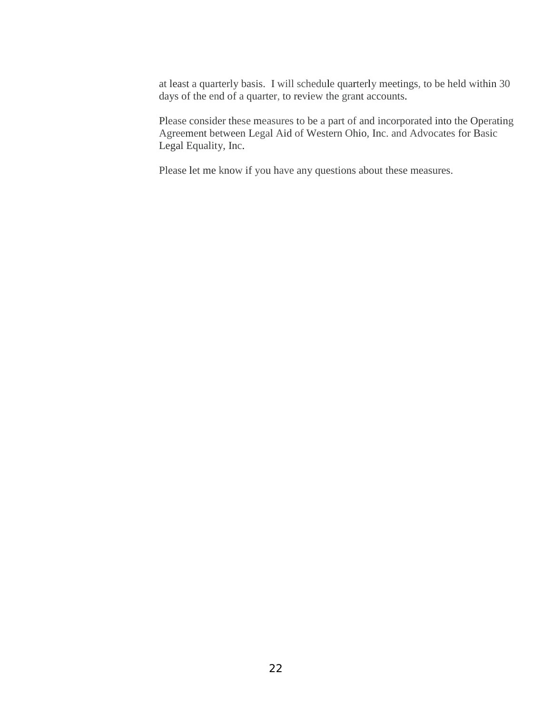at least a quarterly basis. I will schedule quarterly meetings, to be held within 30 days of the end of a quarter, to review the grant accounts.

Please consider these measures to be a part of and incorporated into the Operating Agreement between Legal Aid of Western Ohio, Inc. and Advocates for Basic Legal Equality, Inc.

Please let me know if you have any questions about these measures.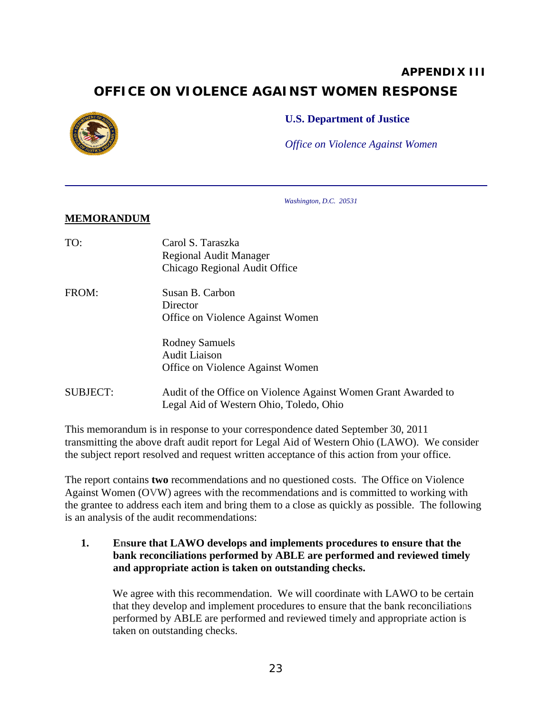# **APPENDIX III OFFICE ON VIOLENCE AGAINST WOMEN RESPONSE**

<span id="page-27-0"></span>

#### **U.S. Department of Justice**

*Office on Violence Against Women*

*Washington, D.C. 20531*

#### **MEMORANDUM**

| TO:             | Carol S. Taraszka<br><b>Regional Audit Manager</b><br>Chicago Regional Audit Office                       |
|-----------------|-----------------------------------------------------------------------------------------------------------|
| FROM:           | Susan B. Carbon<br>Director<br>Office on Violence Against Women                                           |
|                 | <b>Rodney Samuels</b><br><b>Audit Liaison</b><br>Office on Violence Against Women                         |
| <b>SUBJECT:</b> | Audit of the Office on Violence Against Women Grant Awarded to<br>Legal Aid of Western Ohio, Toledo, Ohio |

This memorandum is in response to your correspondence dated September 30, 2011 transmitting the above draft audit report for Legal Aid of Western Ohio (LAWO). We consider the subject report resolved and request written acceptance of this action from your office.

The report contains **two** recommendations and no questioned costs. The Office on Violence Against Women (OVW) agrees with the recommendations and is committed to working with the grantee to address each item and bring them to a close as quickly as possible. The following is an analysis of the audit recommendations:

**1. Ensure that LAWO develops and implements procedures to ensure that the bank reconciliations performed by ABLE are performed and reviewed timely and appropriate action is taken on outstanding checks.** 

We agree with this recommendation. We will coordinate with LAWO to be certain that they develop and implement procedures to ensure that the bank reconciliations performed by ABLE are performed and reviewed timely and appropriate action is taken on outstanding checks.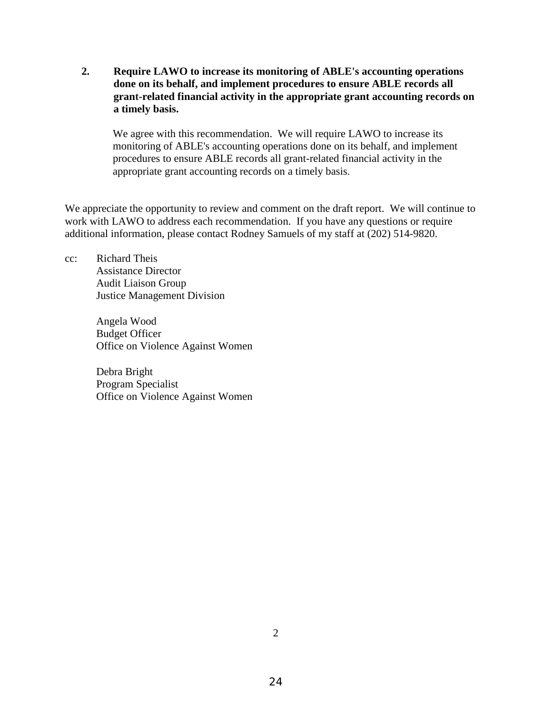**2. Require LAWO to increase its monitoring of ABLE's accounting operations done on its behalf, and implement procedures to ensure ABLE records all grant-related financial activity in the appropriate grant accounting records on a timely basis.** 

We agree with this recommendation. We will require LAWO to increase its monitoring of ABLE's accounting operations done on its behalf, and implement procedures to ensure ABLE records all grant-related financial activity in the appropriate grant accounting records on a timely basis.

We appreciate the opportunity to review and comment on the draft report. We will continue to work with LAWO to address each recommendation. If you have any questions or require additional information, please contact Rodney Samuels of my staff at (202) 514-9820.

cc: Richard Theis Assistance Director Audit Liaison Group Justice Management Division

> Angela Wood Budget Officer Office on Violence Against Women

> Debra Bright Program Specialist Office on Violence Against Women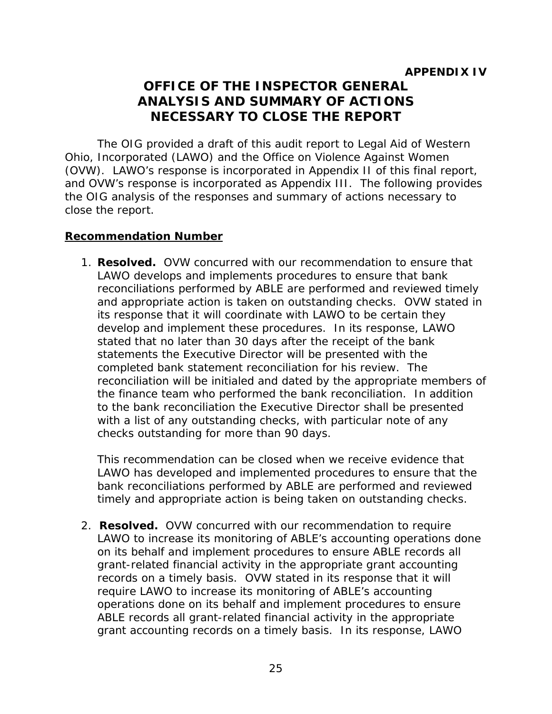# **OFFICE OF THE INSPECTOR GENERAL ANALYSIS AND SUMMARY OF ACTIONS NECESSARY TO CLOSE THE REPORT**

<span id="page-29-2"></span><span id="page-29-1"></span><span id="page-29-0"></span>The OIG provided a draft of this audit report to Legal Aid of Western Ohio, Incorporated (LAWO) and the Office on Violence Against Women (OVW). LAWO's response is incorporated in Appendix II of this final report, and OVW's response is incorporated as Appendix III. The following provides the OIG analysis of the responses and summary of actions necessary to close the report.

### **Recommendation Number**

1. **Resolved.** OVW concurred with our recommendation to ensure that LAWO develops and implements procedures to ensure that bank reconciliations performed by ABLE are performed and reviewed timely and appropriate action is taken on outstanding checks. OVW stated in its response that it will coordinate with LAWO to be certain they develop and implement these procedures. In its response, LAWO stated that no later than 30 days after the receipt of the bank statements the Executive Director will be presented with the completed bank statement reconciliation for his review. The reconciliation will be initialed and dated by the appropriate members of the finance team who performed the bank reconciliation. In addition to the bank reconciliation the Executive Director shall be presented with a list of any outstanding checks, with particular note of any checks outstanding for more than 90 days.

 This recommendation can be closed when we receive evidence that LAWO has developed and implemented procedures to ensure that the bank reconciliations performed by ABLE are performed and reviewed timely and appropriate action is being taken on outstanding checks.

2. **Resolved.** OVW concurred with our recommendation to require LAWO to increase its monitoring of ABLE's accounting operations done on its behalf and implement procedures to ensure ABLE records all grant-related financial activity in the appropriate grant accounting records on a timely basis. OVW stated in its response that it will require LAWO to increase its monitoring of ABLE's accounting operations done on its behalf and implement procedures to ensure ABLE records all grant-related financial activity in the appropriate grant accounting records on a timely basis. In its response, LAWO